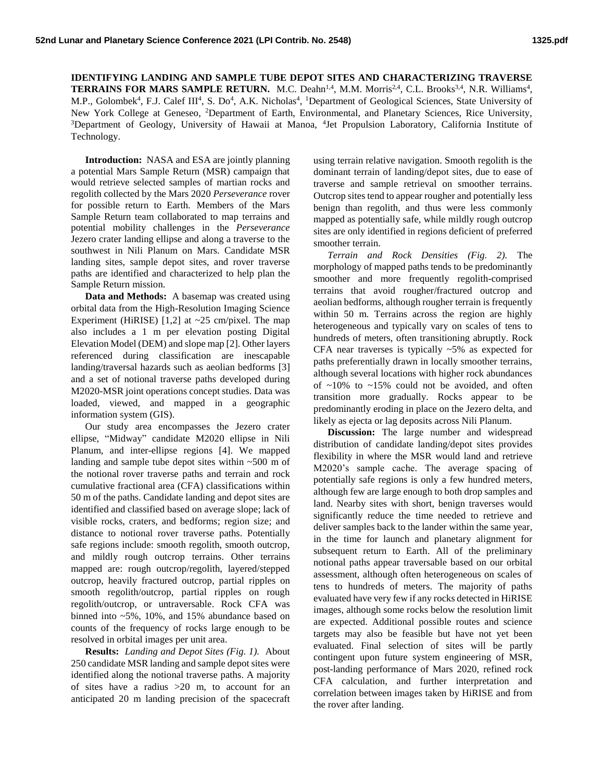**IDENTIFYING LANDING AND SAMPLE TUBE DEPOT SITES AND CHARACTERIZING TRAVERSE TERRAINS FOR MARS SAMPLE RETURN.** M.C. Deahn<sup>1,4</sup>, M.M. Morris<sup>2,4</sup>, C.L. Brooks<sup>3,4</sup>, N.R. Williams<sup>4</sup>, M.P., Golombek<sup>4</sup>, F.J. Calef III<sup>4</sup>, S. Do<sup>4</sup>, A.K. Nicholas<sup>4</sup>, <sup>1</sup>Department of Geological Sciences, State University of New York College at Geneseo, <sup>2</sup>Department of Earth, Environmental, and Planetary Sciences, Rice University, <sup>3</sup>Department of Geology, University of Hawaii at Manoa, <sup>4</sup>Jet Propulsion Laboratory, California Institute of Technology.

**Introduction:** NASA and ESA are jointly planning a potential Mars Sample Return (MSR) campaign that would retrieve selected samples of martian rocks and regolith collected by the Mars 2020 *Perseverance* rover for possible return to Earth. Members of the Mars Sample Return team collaborated to map terrains and potential mobility challenges in the *Perseverance* Jezero crater landing ellipse and along a traverse to the southwest in Nili Planum on Mars. Candidate MSR landing sites, sample depot sites, and rover traverse paths are identified and characterized to help plan the Sample Return mission.

**Data and Methods:** A basemap was created using orbital data from the High-Resolution Imaging Science Experiment (HiRISE) [1,2] at  $\sim$ 25 cm/pixel. The map also includes a 1 m per elevation posting Digital Elevation Model (DEM) and slope map [2]. Other layers referenced during classification are inescapable landing/traversal hazards such as aeolian bedforms [3] and a set of notional traverse paths developed during M2020-MSR joint operations concept studies. Data was loaded, viewed, and mapped in a geographic information system (GIS).

Our study area encompasses the Jezero crater ellipse, "Midway" candidate M2020 ellipse in Nili Planum, and inter-ellipse regions [4]. We mapped landing and sample tube depot sites within ~500 m of the notional rover traverse paths and terrain and rock cumulative fractional area (CFA) classifications within 50 m of the paths. Candidate landing and depot sites are identified and classified based on average slope; lack of visible rocks, craters, and bedforms; region size; and distance to notional rover traverse paths. Potentially safe regions include: smooth regolith, smooth outcrop, and mildly rough outcrop terrains. Other terrains mapped are: rough outcrop/regolith, layered/stepped outcrop, heavily fractured outcrop, partial ripples on smooth regolith/outcrop, partial ripples on rough regolith/outcrop, or untraversable. Rock CFA was binned into ~5%, 10%, and 15% abundance based on counts of the frequency of rocks large enough to be resolved in orbital images per unit area.

**Results:** *Landing and Depot Sites (Fig. 1).* About 250 candidate MSR landing and sample depot sites were identified along the notional traverse paths. A majority of sites have a radius >20 m, to account for an anticipated 20 m landing precision of the spacecraft

using terrain relative navigation. Smooth regolith is the dominant terrain of landing/depot sites, due to ease of traverse and sample retrieval on smoother terrains. Outcrop sites tend to appear rougher and potentially less benign than regolith, and thus were less commonly mapped as potentially safe, while mildly rough outcrop sites are only identified in regions deficient of preferred smoother terrain.

*Terrain and Rock Densities (Fig. 2).* The morphology of mapped paths tends to be predominantly smoother and more frequently regolith-comprised terrains that avoid rougher/fractured outcrop and aeolian bedforms, although rougher terrain is frequently within 50 m. Terrains across the region are highly heterogeneous and typically vary on scales of tens to hundreds of meters, often transitioning abruptly. Rock CFA near traverses is typically ~5% as expected for paths preferentially drawn in locally smoother terrains, although several locations with higher rock abundances of  $\sim$ 10% to  $\sim$ 15% could not be avoided, and often transition more gradually. Rocks appear to be predominantly eroding in place on the Jezero delta, and likely as ejecta or lag deposits across Nili Planum.

**Discussion:** The large number and widespread distribution of candidate landing/depot sites provides flexibility in where the MSR would land and retrieve M2020's sample cache. The average spacing of potentially safe regions is only a few hundred meters, although few are large enough to both drop samples and land. Nearby sites with short, benign traverses would significantly reduce the time needed to retrieve and deliver samples back to the lander within the same year, in the time for launch and planetary alignment for subsequent return to Earth. All of the preliminary notional paths appear traversable based on our orbital assessment, although often heterogeneous on scales of tens to hundreds of meters. The majority of paths evaluated have very few if any rocks detected in HiRISE images, although some rocks below the resolution limit are expected. Additional possible routes and science targets may also be feasible but have not yet been evaluated. Final selection of sites will be partly contingent upon future system engineering of MSR, post-landing performance of Mars 2020, refined rock CFA calculation, and further interpretation and correlation between images taken by HiRISE and from the rover after landing.